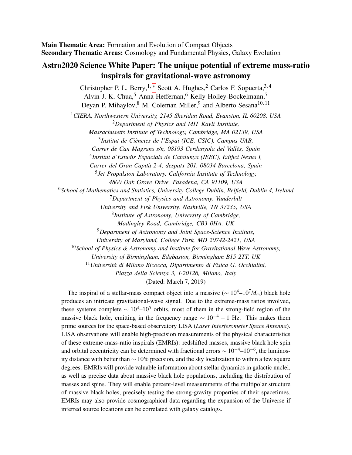Main Thematic Area: Formation and Evolution of Compact Objects Secondary Thematic Areas: Cosmology and Fundamental Physics, Galaxy Evolution

# Astro2020 Science White Paper: The unique potential of extreme mass-ratio inspirals for gravitational-wave astronomy

Christopher P. L. Berry, <sup>1, \*</sup> Scott A. Hughes,  ${}^{2}$  Carlos F. Sopuerta,  ${}^{3,4}$ Alvin J. K. Chua,<sup>5</sup> Anna Heffernan,<sup>6</sup> Kelly Holley-Bockelmann,<sup>7</sup> Deyan P. Mihaylov,<sup>8</sup> M. Coleman Miller,<sup>9</sup> and Alberto Sesana<sup>10, 11</sup>

<sup>1</sup>*CIERA, Northwestern University, 2145 Sheridan Road, Evanston, IL 60208, USA* <sup>2</sup>*Department of Physics and MIT Kavli Institute,*

*Massachusetts Institute of Technology, Cambridge, MA 02139, USA* 3 *Institut de Ciencies de l'Espai (ICE, CSIC), Campus UAB, `*

*Carrer de Can Magrans s/n, 08193 Cerdanyola del Valles, Spain `*

4 *Institut d'Estudis Espacials de Catalunya (IEEC), Edifici Nexus I,*

*Carrer del Gran Capita 2-4, despatx 201, 08034 Barcelona, Spain `*

5 *Jet Propulsion Laboratory, California Institute of Technology,*

*4800 Oak Grove Drive, Pasadena, CA 91109, USA*

<sup>6</sup>*School of Mathematics and Statistics, University College Dublin, Belfield, Dublin 4, Ireland*

<sup>7</sup>*Department of Physics and Astronomy, Vanderbilt*

*University and Fisk University, Nashville, TN 37235, USA*

8 *Institute of Astronomy, University of Cambridge,*

*Madingley Road, Cambridge, CB3 0HA, UK*

<sup>9</sup>*Department of Astronomy and Joint Space-Science Institute,*

*University of Maryland, College Park, MD 20742-2421, USA*

<sup>10</sup>*School of Physics & Astronomy and Institute for Gravitational Wave Astronomy,*

*University of Birmingham, Edgbaston, Birmingham B15 2TT, UK*

<sup>11</sup>*Universita di Milano Bicocca, Dipartimento di Fisica G. Occhialini, `*

*Piazza della Scienza 3, I-20126, Milano, Italy*

(Dated: March 7, 2019)

The inspiral of a stellar-mass compact object into a massive ( $\sim 10^4 - 10^7 M_{\odot}$ ) black hole produces an intricate gravitational-wave signal. Due to the extreme-mass ratios involved, these systems complete  $\sim 10^4$ – $10^5$  orbits, most of them in the strong-field region of the massive black hole, emitting in the frequency range  $\sim 10^{-4} - 1$  Hz. This makes them prime sources for the space-based observatory LISA (*Laser Interferometer Space Antenna*). LISA observations will enable high-precision measurements of the physical characteristics of these extreme-mass-ratio inspirals (EMRIs): redshifted masses, massive black hole spin and orbital eccentricity can be determined with fractional errors  $\sim 10^{-4}$ – $10^{-6}$ , the luminosity distance with better than  $\sim$  10% precision, and the sky localization to within a few square degrees. EMRIs will provide valuable information about stellar dynamics in galactic nuclei, as well as precise data about massive black hole populations, including the distribution of masses and spins. They will enable percent-level measurements of the multipolar structure of massive black holes, precisely testing the strong-gravity properties of their spacetimes. EMRIs may also provide cosmographical data regarding the expansion of the Universe if inferred source locations can be correlated with galaxy catalogs.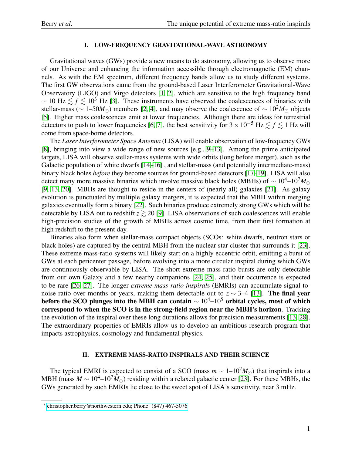### I. LOW-FREQUENCY GRAVITATIONAL-WAVE ASTRONOMY

Gravitational waves (GWs) provide a new means to do astronomy, allowing us to observe more of our Universe and enhancing the information accessible through electromagnetic (EM) channels. As with the EM spectrum, different frequency bands allow us to study different systems. The first GW observations came from the ground-based Laser Interferometer Gravitational-Wave Observatory (LIGO) and Virgo detectors [\[1,](#page-6-0) [2\]](#page-6-1), which are sensitive to the high frequency band  $\sim 10 \text{ Hz} \lesssim f \lesssim 10^3 \text{ Hz}$  [\[3\]](#page-6-2). These instruments have observed the coalescences of binaries with stellar-mass ( $\sim$  1–50*M*<sub>⊙</sub>) members [\[2,](#page-6-1) [4\]](#page-6-3), and may observe the coalescence of  $\sim 10^2 M_{\odot}$  objects [\[5\]](#page-6-4). Higher mass coalescences emit at lower frequencies. Although there are ideas for terrestrial detectors to push to lower frequencies [\[6,](#page-6-5) [7\]](#page-6-6), the best sensitivity for  $3 \times 10^{-5}$  Hz  $\le f \le 1$  Hz will come from space-borne detectors.

The *Laser Interferometer Space Antenna* (LISA) will enable observation of low-frequency GWs [\[8\]](#page-6-7), bringing into view a wide range of new sources [e.g., [9–](#page-6-8)[13\]](#page-6-9). Among the prime anticipated targets, LISA will observe stellar-mass systems with wide orbits (long before merger), such as the Galactic population of white dwarfs [\[14](#page-6-10)[–16\]](#page-6-11) , and stellar-mass (and potentially intermediate-mass) binary black holes *before* they become sources for ground-based detectors [\[17–](#page-6-12)[19\]](#page-6-13). LISA will also detect many more massive binaries which involve massive black holes (MBHs) of ~ 10<sup>4</sup>–10<sup>7</sup>*M*<sub>∩</sub> [\[9,](#page-6-8) [13,](#page-6-9) [20\]](#page-6-14). MBHs are thought to reside in the centers of (nearly all) galaxies [\[21\]](#page-6-15). As galaxy evolution is punctuated by multiple galaxy mergers, it is expected that the MBH within merging galaxies eventually form a binary [\[22\]](#page-6-16). Such binaries produce extremely strong GWs which will be detectable by LISA out to redshift  $z \ge 20$  [\[9\]](#page-6-8). LISA observations of such coalescences will enable high-precision studies of the growth of MBHs across cosmic time, from their first formation at high redshift to the present day.

Binaries also form when stellar-mass compact objects (SCOs: white dwarfs, neutron stars or black holes) are captured by the central MBH from the nuclear star cluster that surrounds it [\[23\]](#page-6-17). These extreme mass-ratio systems will likely start on a highly eccentric orbit, emitting a burst of GWs at each pericenter passage, before evolving into a more circular inspiral during which GWs are continuously observable by LISA. The short extreme mass-ratio bursts are only detectable from our own Galaxy and a few nearby companions [\[24,](#page-6-18) [25\]](#page-6-19), and their occurrence is expected to be rare [\[26,](#page-7-0) [27\]](#page-7-1). The longer *extreme mass-ratio inspiral*s (EMRIs) can accumulate signal-tonoise ratio over months or years, making them detectable out to  $z \sim 3-4$  [\[13\]](#page-6-9). The final year before the SCO plunges into the MBH can contain  $\sim 10^4$ – $10^5$  orbital cycles, most of which correspond to when the SCO is in the strong-field region near the MBH's horizon. Tracking the evolution of the inspiral over these long durations allows for precision measurements [\[13,](#page-6-9) [28\]](#page-7-2). The extraordinary properties of EMRIs allow us to develop an ambitious research program that impacts astrophysics, cosmology and fundamental physics.

## II. EXTREME MASS-RATIO INSPIRALS AND THEIR SCIENCE

The typical EMRI is expected to consist of a SCO (mass  $m \sim 1 - 10^2 M_{\odot}$ ) that inspirals into a MBH (mass  $M \sim 10^4 - 10^7 M_{\odot}$ ) residing within a relaxed galactic center [\[23\]](#page-6-17). For these MBHs, the GWs generated by such EMRIs lie close to the sweet spot of LISA's sensitivity, near 3 mHz.

<span id="page-1-0"></span><sup>∗</sup> [christopher.berry@northwestern.edu; Phone: \(847\) 467-5076](mailto:christopher.berry@northwestern.edu; Phone: (847) 467-5076)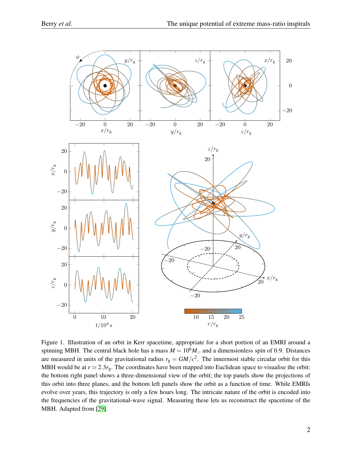

Figure 1. Illustration of an orbit in Kerr spacetime, appropriate for a short portion of an EMRI around a spinning MBH. The central black hole has a mass  $M = 10<sup>6</sup>M_{\odot}$  and a dimensionless spin of 0.9. Distances are measured in units of the gravitational radius  $r_g = GM/c^2$ . The innermost stable circular orbit for this MBH would be at  $r \approx 2.3r_{\rm g}$ . The coordinates have been mapped into Euclidean space to visualise the orbit: the bottom right panel shows a three-dimensional view of the orbit; the top panels show the projections of this orbit into three planes, and the bottom left panels show the orbit as a function of time. While EMRIs evolve over years, this trajectory is only a few hours long. The intricate nature of the orbit is encoded into the frequencies of the gravitational-wave signal. Measuring these lets us reconstruct the spacetime of the MBH. Adapted from [\[29\]](#page-7-3).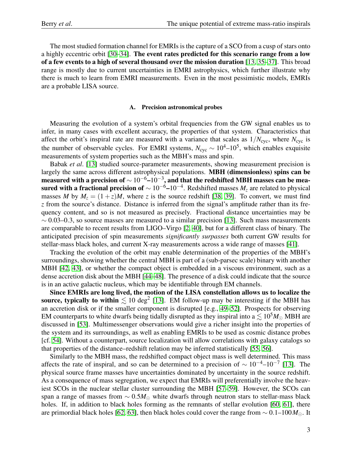The most studied formation channel for EMRIs is the capture of a SCO from a cusp of stars onto a highly eccentric orbit [\[30–](#page-7-4)[34\]](#page-7-5). The event rates predicted for this scenario range from a low of a few events to a high of several thousand over the mission duration [\[13,](#page-6-9) [35](#page-7-6)[–37\]](#page-7-7). This broad range is mostly due to current uncertainties in EMRI astrophysics, which further illustrate why there is much to learn from EMRI measurements. Even in the most pessimistic models, EMRIs are a probable LISA source.

#### A. Precision astronomical probes

Measuring the evolution of a system's orbital frequencies from the GW signal enables us to infer, in many cases with excellent accuracy, the properties of that system. Characteristics that affect the orbit's inspiral rate are measured with a variance that scales as  $1/N_{\text{cyc}}$ , where  $N_{\text{cyc}}$  is the number of observable cycles. For EMRI systems,  $N_{\rm cyc} \sim 10^4 - 10^5$ , which enables exquisite measurements of system properties such as the MBH's mass and spin.

Babak *et al*. [\[13\]](#page-6-9) studied source-parameter measurements, showing measurement precision is largely the same across different astrophysical populations. MBH (dimensionless) spins can be measured with a precision of  $\sim 10^{-6}$ – $10^{-3}$ , and that the redshifted MBH masses can be measured with a fractional precision of  $\sim 10^{-6}$ – $10^{-4}$ . Redshifted masses  $M_z$  are related to physical masses *M* by  $M_z = (1 + z)M$ , where *z* is the source redshift [\[38,](#page-7-8) [39\]](#page-7-9). To convert, we must find *z* from the source's distance. Distance is inferred from the signal's amplitude rather than its frequency content, and so is not measured as precisely. Fractional distance uncertainties may be  $\sim$  0.03–0.3, so source masses are measured to a similar precision [\[13\]](#page-6-9). Such mass measurements are comparable to recent results from LIGO–Virgo [\[2,](#page-6-1) [40\]](#page-7-10), but for a different class of binary. The anticipated precision of spin measurements *significantly surpasses* both current GW results for stellar-mass black holes, and current X-ray measurements across a wide range of masses [\[41\]](#page-7-11).

Tracking the evolution of the orbit may enable determination of the properties of the MBH's surroundings, showing whether the central MBH is part of a (sub-parsec scale) binary with another MBH [\[42,](#page-7-12) [43\]](#page-7-13), or whether the compact object is embedded in a viscous environment, such as a dense accretion disk about the MBH [\[44](#page-7-14)[–48\]](#page-7-15). The presence of a disk could indicate that the source is in an active galactic nucleus, which may be identifiable through EM channels.

Since EMRIs are long lived, the motion of the LISA constellation allows us to localize the source, typically to within  $\lesssim 10 \text{ deg}^2$  [\[13\]](#page-6-9). EM follow-up may be interesting if the MBH has an accretion disk or if the smaller component is disrupted [e.g., [49](#page-7-16)[–52\]](#page-7-17). Prospects for observing EM counterparts to white dwarfs being tidally disrupted as they inspiral into  $a \lesssim 10^5 M_{\odot}$  MBH are discussed in [\[53\]](#page-7-18). Multimessenger observations would give a richer insight into the properties of the system and its surroundings, as well as enabling EMRIs to be used as cosmic distance probes [cf. [54\]](#page-8-0). Without a counterpart, source localization will allow correlations with galaxy catalogs so that properties of the distance–redshift relation may be inferred statistically [\[55,](#page-8-1) [56\]](#page-8-2).

Similarly to the MBH mass, the redshifted compact object mass is well determined. This mass affects the rate of inspiral, and so can be determined to a precision of  $\sim 10^{-4}$ – $10^{-7}$  [\[13\]](#page-6-9). The physical source frame masses have uncertainties dominated by uncertainty in the source redshift. As a consequence of mass segregation, we expect that EMRIs will preferentially involve the heaviest SCOs in the nuclear stellar cluster surrounding the MBH [\[57–](#page-8-3)[59\]](#page-8-4). However, the SCOs can span a range of masses from ~ 0.5*M*<sub>⊙</sub> white dwarfs through neutron stars to stellar-mass black holes. If, in addition to black holes forming as the remnants of stellar evolution [\[60,](#page-8-5) [61\]](#page-8-6), there are primordial black holes [\[62,](#page-8-7) [63\]](#page-8-8), then black holes could cover the range from ∼ 0.1–100*M*. It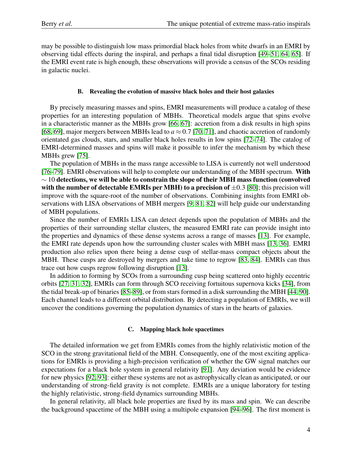may be possible to distinguish low mass primordial black holes from white dwarfs in an EMRI by observing tidal effects during the inspiral, and perhaps a final tidal disruption [\[49](#page-7-16)[–51,](#page-7-19) [64,](#page-8-9) [65\]](#page-8-10). If the EMRI event rate is high enough, these observations will provide a census of the SCOs residing in galactic nuclei.

#### B. Revealing the evolution of massive black holes and their host galaxies

By precisely measuring masses and spins, EMRI measurements will produce a catalog of these properties for an interesting population of MBHs. Theoretical models argue that spins evolve in a characteristic manner as the MBHs grow [\[66,](#page-8-11) [67\]](#page-8-12): accretion from a disk results in high spins [\[68,](#page-8-13) [69\]](#page-8-14), major mergers between MBHs lead to  $a \approx 0.7$  [\[70,](#page-8-15) [71\]](#page-8-16), and chaotic accretion of randomly orientated gas clouds, stars, and smaller black holes results in low spins [\[72–](#page-8-17)[74\]](#page-8-18). The catalog of EMRI-determined masses and spins will make it possible to infer the mechanism by which these MBHs grew [\[75\]](#page-8-19).

The population of MBHs in the mass range accessible to LISA is currently not well understood [\[76–](#page-8-20)[79\]](#page-8-21). EMRI observations will help to complete our understanding of the MBH spectrum. With  $\sim$  10 detections, we will be able to constrain the slope of their MBH mass function (convolved with the number of detectable EMRIs per MBH) to a precision of  $\pm 0.3$  [\[80\]](#page-9-0); this precision will improve with the square-root of the number of observations. Combining insights from EMRI observations with LISA observations of MBH mergers [\[9,](#page-6-8) [81,](#page-9-1) [82\]](#page-9-2) will help guide our understanding of MBH populations.

Since the number of EMRIs LISA can detect depends upon the population of MBHs and the properties of their surrounding stellar clusters, the measured EMRI rate can provide insight into the properties and dynamics of these dense systems across a range of masses [\[13\]](#page-6-9). For example, the EMRI rate depends upon how the surrounding cluster scales with MBH mass [\[13,](#page-6-9) [36\]](#page-7-20). EMRI production also relies upon there being a dense cusp of stellar-mass compact objects about the MBH. These cusps are destroyed by mergers and take time to regrow [\[83,](#page-9-3) [84\]](#page-9-4). EMRIs can thus trace out how cusps regrow following disruption [\[13\]](#page-6-9).

In addition to forming by SCOs from a surrounding cusp being scattered onto highly eccentric orbits [\[27,](#page-7-1) [31,](#page-7-21) [32\]](#page-7-22), EMRIs can form through SCO receiving fortuitous supernova kicks [\[34\]](#page-7-5), from the tidal break-up of binaries [\[85–](#page-9-5)[89\]](#page-9-6), or from stars formed in a disk surrounding the MBH [\[44,](#page-7-14) [90\]](#page-9-7). Each channel leads to a different orbital distribution. By detecting a population of EMRIs, we will uncover the conditions governing the population dynamics of stars in the hearts of galaxies.

#### C. Mapping black hole spacetimes

The detailed information we get from EMRIs comes from the highly relativistic motion of the SCO in the strong gravitational field of the MBH. Consequently, one of the most exciting applications for EMRIs is providing a high-precision verification of whether the GW signal matches our expectations for a black hole system in general relativity [\[91\]](#page-9-8). Any deviation would be evidence for new physics [\[92,](#page-9-9) [93\]](#page-9-10): either these systems are not as astrophysically clean as anticipated, or our understanding of strong-field gravity is not complete. EMRIs are a unique laboratory for testing the highly relativistic, strong-field dynamics surrounding MBHs.

In general relativity, all black hole properties are fixed by its mass and spin. We can describe the background spacetime of the MBH using a multipole expansion [\[94](#page-9-11)[–96\]](#page-9-12). The first moment is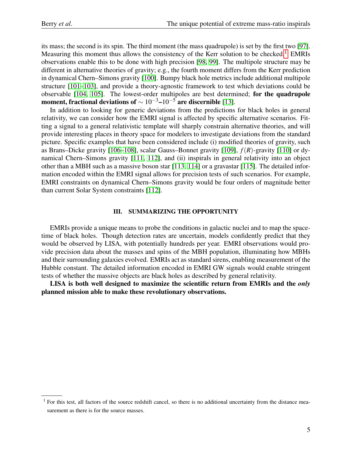its mass; the second is its spin. The third moment (the mass quadrupole) is set by the first two [\[97\]](#page-9-13). Measuring this moment thus allows the consistency of the Kerr solution to be checked.<sup>[1](#page-5-0)</sup> EMRIs observations enable this to be done with high precision [\[98,](#page-9-14) [99\]](#page-9-15). The multipole structure may be different in alternative theories of gravity; e.g., the fourth moment differs from the Kerr prediction in dynamical Chern–Simons gravity [\[100\]](#page-9-16). Bumpy black hole metrics include additional multipole structure [\[101–](#page-9-17)[103\]](#page-9-18), and provide a theory-agnostic framework to test which deviations could be observable [\[104,](#page-9-19) [105\]](#page-9-20). The lowest-order multipoles are best determined; for the quadrupole moment, fractional deviations of  $\sim 10^{-3}$ – $10^{-5}$  are discernible [\[13\]](#page-6-9).

In addition to looking for generic deviations from the predictions for black holes in general relativity, we can consider how the EMRI signal is affected by specific alternative scenarios. Fitting a signal to a general relativistic template will sharply constrain alternative theories, and will provide interesting places in theory space for modelers to investigate deviations from the standard picture. Specific examples that have been considered include (i) modified theories of gravity, such as Brans–Dicke gravity [\[106–](#page-9-21)[108\]](#page-9-22), scalar Gauss–Bonnet gravity [\[109\]](#page-9-23), *f*(*R*)-gravity [\[110\]](#page-9-24) or dynamical Chern–Simons gravity [\[111,](#page-10-0) [112\]](#page-10-1), and (ii) inspirals in general relativity into an object other than a MBH such as a massive boson star [\[113,](#page-10-2) [114\]](#page-10-3) or a gravastar [\[115\]](#page-10-4). The detailed information encoded within the EMRI signal allows for precision tests of such scenarios. For example, EMRI constraints on dynamical Chern–Simons gravity would be four orders of magnitude better than current Solar System constraints [\[112\]](#page-10-1).

### III. SUMMARIZING THE OPPORTUNITY

EMRIs provide a unique means to probe the conditions in galactic nuclei and to map the spacetime of black holes. Though detection rates are uncertain, models confidently predict that they would be observed by LISA, with potentially hundreds per year. EMRI observations would provide precision data about the masses and spins of the MBH population, illuminating how MBHs and their surrounding galaxies evolved. EMRIs act as standard sirens, enabling measurement of the Hubble constant. The detailed information encoded in EMRI GW signals would enable stringent tests of whether the massive objects are black holes as described by general relativity.

LISA is both well designed to maximize the scientific return from EMRIs and the *only* planned mission able to make these revolutionary observations.

<span id="page-5-0"></span><sup>&</sup>lt;sup>1</sup> For this test, all factors of the source redshift cancel, so there is no additional uncertainty from the distance measurement as there is for the source masses.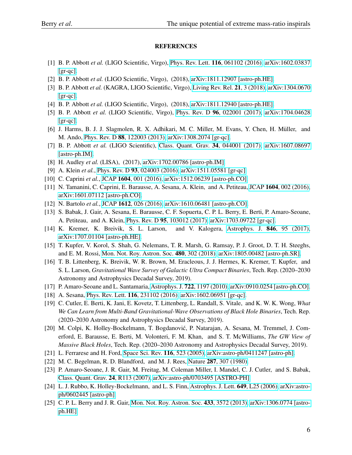### REFERENCES

- <span id="page-6-0"></span>[1] B. P. Abbott *et al.* (LIGO Scientific, Virgo), Phys. Rev. Lett. 116[, 061102 \(2016\),](http://dx.doi.org/10.1103/PhysRevLett.116.061102) [arXiv:1602.03837](http://arxiv.org/abs/1602.03837) [\[gr-qc\].](http://arxiv.org/abs/1602.03837)
- <span id="page-6-1"></span>[2] B. P. Abbott *et al.* (LIGO Scientific, Virgo), (2018), [arXiv:1811.12907 \[astro-ph.HE\].](http://arxiv.org/abs/1811.12907)
- <span id="page-6-2"></span>[3] B. P. Abbott *et al.* (KAGRA, LIGO Scientific, Virgo), [Living Rev. Rel.](http://dx.doi.org/10.1007/s41114-018-0012-9,) 21, 3 (2018), [arXiv:1304.0670](http://arxiv.org/abs/1304.0670)  $[gr-qc]$ .
- <span id="page-6-3"></span>[4] B. P. Abbott *et al.* (LIGO Scientific, Virgo), (2018), [arXiv:1811.12940 \[astro-ph.HE\].](http://arxiv.org/abs/1811.12940)
- <span id="page-6-4"></span>[5] B. P. Abbott *et al.* (LIGO Scientific, Virgo), Phys. Rev. D 96[, 022001 \(2017\),](http://dx.doi.org/10.1103/PhysRevD.96.022001) [arXiv:1704.04628](http://arxiv.org/abs/1704.04628) [\[gr-qc\].](http://arxiv.org/abs/1704.04628)
- <span id="page-6-5"></span>[6] J. Harms, B. J. J. Slagmolen, R. X. Adhikari, M. C. Miller, M. Evans, Y. Chen, H. Muller, and ¨ M. Ando, Phys. Rev. D 88[, 122003 \(2013\),](http://dx.doi.org/ 10.1103/PhysRevD.88.122003) [arXiv:1308.2074 \[gr-qc\].](http://arxiv.org/abs/1308.2074)
- <span id="page-6-6"></span>[7] B. P. Abbott *et al.* (LIGO Scientific), [Class. Quant. Grav.](http://dx.doi.org/10.1088/1361-6382/aa51f4) 34, 044001 (2017), [arXiv:1607.08697](http://arxiv.org/abs/1607.08697) [\[astro-ph.IM\].](http://arxiv.org/abs/1607.08697)
- <span id="page-6-7"></span>[8] H. Audley *et al.* (LISA), (2017), [arXiv:1702.00786 \[astro-ph.IM\].](http://arxiv.org/abs/1702.00786)
- <span id="page-6-8"></span>[9] A. Klein *et al.*, Phys. Rev. D 93[, 024003 \(2016\),](http://dx.doi.org/10.1103/PhysRevD.93.024003) [arXiv:1511.05581 \[gr-qc\].](http://arxiv.org/abs/1511.05581)
- [10] C. Caprini *et al.*, JCAP 1604[, 001 \(2016\),](http://dx.doi.org/10.1088/1475-7516/2016/04/001) [arXiv:1512.06239 \[astro-ph.CO\].](http://arxiv.org/abs/1512.06239)
- [11] N. Tamanini, C. Caprini, E. Barausse, A. Sesana, A. Klein, and A. Petiteau, JCAP 1604[, 002 \(2016\),](http://dx.doi.org/ 10.1088/1475-7516/2016/04/002) [arXiv:1601.07112 \[astro-ph.CO\].](http://arxiv.org/abs/1601.07112)
- [12] N. Bartolo *et al.*, JCAP 1612[, 026 \(2016\),](http://dx.doi.org/10.1088/1475-7516/2016/12/026) [arXiv:1610.06481 \[astro-ph.CO\].](http://arxiv.org/abs/1610.06481)
- <span id="page-6-9"></span>[13] S. Babak, J. Gair, A. Sesana, E. Barausse, C. F. Sopuerta, C. P. L. Berry, E. Berti, P. Amaro-Seoane, A. Petiteau, and A. Klein, Phys. Rev. D 95[, 103012 \(2017\),](http://dx.doi.org/10.1103/PhysRevD.95.103012) [arXiv:1703.09722 \[gr-qc\].](http://arxiv.org/abs/1703.09722)
- <span id="page-6-10"></span>[14] K. Kremer, K. Breivik, S. L. Larson, and V. Kalogera, [Astrophys. J.](http://dx.doi.org/10.3847/1538-4357/aa8557) 846, 95 (2017), [arXiv:1707.01104 \[astro-ph.HE\].](http://arxiv.org/abs/1707.01104)
- [15] T. Kupfer, V. Korol, S. Shah, G. Nelemans, T. R. Marsh, G. Ramsay, P. J. Groot, D. T. H. Steeghs, and E. M. Rossi, [Mon. Not. Roy. Astron. Soc.](http://dx.doi.org/10.1093/mnras/sty1545) 480, 302 (2018), [arXiv:1805.00482 \[astro-ph.SR\].](http://arxiv.org/abs/1805.00482)
- <span id="page-6-11"></span>[16] T. B. Littenberg, K. Breivik, W. R. Brown, M. Eracleous, J. J. Hermes, K. Kremer, T. Kupfer, and S. L. Larson, *Gravitational Wave Survey of Galactic Ultra Compact Binaries*, Tech. Rep. (2020–2030 Astronomy and Astrophysics Decadal Survey, 2019).
- <span id="page-6-12"></span>[17] P. Amaro-Seoane and L. Santamaria, Astrophys. J. 722[, 1197 \(2010\),](http://dx.doi.org/10.1088/0004-637X/722/2/1197) [arXiv:0910.0254 \[astro-ph.CO\].](http://arxiv.org/abs/0910.0254)
- [18] A. Sesana, Phys. Rev. Lett. 116[, 231102 \(2016\),](http://dx.doi.org/10.1103/PhysRevLett.116.231102) [arXiv:1602.06951 \[gr-qc\].](http://arxiv.org/abs/1602.06951)
- <span id="page-6-13"></span>[19] C. Cutler, E. Berti, K. Jani, E. Kovetz, T. Littenberg, L. Randall, S. Vitale, and K. W. K. Wong, *What We Can Learn from Multi-Band Gravitational-Wave Observations of Black Hole Binaries*, Tech. Rep. (2020–2030 Astronomy and Astrophysics Decadal Survey, 2019).
- <span id="page-6-14"></span>[20] M. Colpi, K. Holley-Bockelmann, T. Bogdanovic, P. Natarajan, A. Sesana, M. Tremmel, J. Com- ´ erford, E. Barausse, E. Berti, M. Volonteri, F. M. Khan, and S. T. McWilliams, *The GW View of Massive Black Holes*, Tech. Rep. (2020–2030 Astronomy and Astrophysics Decadal Survey, 2019).
- <span id="page-6-15"></span>[21] L. Ferrarese and H. Ford, [Space Sci. Rev.](http://dx.doi.org/10.1007/s11214-005-3947-6) 116, 523 (2005), [arXiv:astro-ph/0411247 \[astro-ph\].](http://arxiv.org/abs/astro-ph/0411247)
- <span id="page-6-16"></span>[22] M. C. Begelman, R. D. Blandford, and M. J. Rees, Nature 287[, 307 \(1980\).](http://dx.doi.org/10.1038/287307a0)
- <span id="page-6-17"></span>[23] P. Amaro-Seoane, J. R. Gair, M. Freitag, M. Coleman Miller, I. Mandel, C. J. Cutler, and S. Babak, [Class. Quant. Grav.](http://dx.doi.org/ 10.1088/0264-9381/24/17/R01) 24, R113 (2007), [arXiv:astro-ph/0703495 \[ASTRO-PH\].](http://arxiv.org/abs/astro-ph/0703495)
- <span id="page-6-18"></span>[24] L. J. Rubbo, K. Holley-Bockelmann, and L. S. Finn, [Astrophys. J. Lett.](http://dx.doi.org/10.1086/508326) **649**, L25 (2006), [arXiv:astro](http://arxiv.org/abs/astro-ph/0602445)[ph/0602445 \[astro-ph\].](http://arxiv.org/abs/astro-ph/0602445)
- <span id="page-6-19"></span>[25] C. P. L. Berry and J. R. Gair, [Mon. Not. Roy. Astron. Soc.](http://dx.doi.org/10.1093/mnras/stt990) 433, 3572 (2013), [arXiv:1306.0774 \[astro](http://arxiv.org/abs/1306.0774)[ph.HE\].](http://arxiv.org/abs/1306.0774)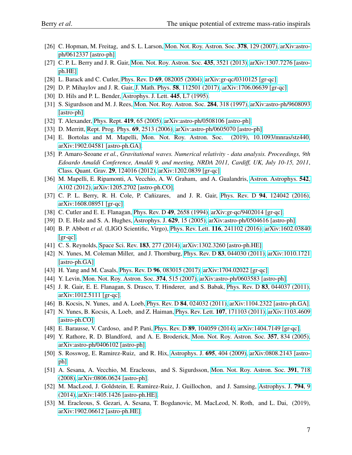- <span id="page-7-0"></span>[26] C. Hopman, M. Freitag, and S. L. Larson, [Mon. Not. Roy. Astron. Soc.](http://dx.doi.org/10.1111/j.1365-2966.2007.11758.x) 378, 129 (2007), [arXiv:astro](http://arxiv.org/abs/astro-ph/0612337)[ph/0612337 \[astro-ph\].](http://arxiv.org/abs/astro-ph/0612337)
- <span id="page-7-1"></span>[27] C. P. L. Berry and J. R. Gair, [Mon. Not. Roy. Astron. Soc.](http://dx.doi.org/10.1093/mnras/stt1543) 435, 3521 (2013), [arXiv:1307.7276 \[astro](http://arxiv.org/abs/1307.7276)[ph.HE\].](http://arxiv.org/abs/1307.7276)
- <span id="page-7-2"></span>[28] L. Barack and C. Cutler, Phys. Rev. D 69[, 082005 \(2004\),](http://dx.doi.org/10.1103/PhysRevD.69.082005) [arXiv:gr-qc/0310125 \[gr-qc\].](http://arxiv.org/abs/gr-qc/0310125)
- <span id="page-7-3"></span>[29] D. P. Mihaylov and J. R. Gair, J. Math. Phys. 58[, 112501 \(2017\),](http://dx.doi.org/10.1063/1.5006336) [arXiv:1706.06639 \[gr-qc\].](http://arxiv.org/abs/1706.06639)
- <span id="page-7-4"></span>[30] D. Hils and P. L. Bender, [Astrophys. J. Lett.](http://dx.doi.org/10.1086/187876) 445, L7 (1995).
- <span id="page-7-21"></span>[31] S. Sigurdsson and M. J. Rees, [Mon. Not. Roy. Astron. Soc.](http://dx.doi.org/10.1093/mnras/284.2.318) 284, 318 (1997), [arXiv:astro-ph/9608093](http://arxiv.org/abs/astro-ph/9608093) [\[astro-ph\].](http://arxiv.org/abs/astro-ph/9608093)
- <span id="page-7-22"></span>[32] T. Alexander, [Phys. Rept.](http://dx.doi.org/10.1016/j.physrep.2005.08.002) 419, 65 (2005), [arXiv:astro-ph/0508106 \[astro-ph\].](http://arxiv.org/abs/astro-ph/0508106)
- [33] D. Merritt, [Rept. Prog. Phys.](http://dx.doi.org/10.1088/0034-4885/69/9/R01) 69, 2513 (2006), [arXiv:astro-ph/0605070 \[astro-ph\].](http://arxiv.org/abs/astro-ph/0605070)
- <span id="page-7-5"></span>[34] E. Bortolas and M. Mapelli, [Mon. Not. Roy. Astron. Soc. \(2019\), 10.1093/mnras/stz440,](http://dx.doi.org/10.1093/mnras/stz440) [arXiv:1902.04581 \[astro-ph.GA\].](http://arxiv.org/abs/1902.04581)
- <span id="page-7-6"></span>[35] P. Amaro-Seoane *et al.*, *Gravitational waves. Numerical relativity - data analysis. Proceedings, 9th Edoardo Amaldi Conference, Amaldi 9, and meeting, NRDA 2011, Cardiff, UK, July 10-15, 2011*, [Class. Quant. Grav.](http://dx.doi.org/ 10.1088/0264-9381/29/12/124016) 29, 124016 (2012), [arXiv:1202.0839 \[gr-qc\].](http://arxiv.org/abs/1202.0839)
- <span id="page-7-20"></span>[36] M. Mapelli, E. Ripamonti, A. Vecchio, A. W. Graham, and A. Gualandris, [Astron. Astrophys.](http://dx.doi.org/ 10.1051/0004-6361/201118444) 542, [A102 \(2012\),](http://dx.doi.org/ 10.1051/0004-6361/201118444) [arXiv:1205.2702 \[astro-ph.CO\].](http://arxiv.org/abs/1205.2702)
- <span id="page-7-7"></span>[37] C. P. L. Berry, R. H. Cole, P. Cañizares, and J. R. Gair, Phys. Rev. D 94[, 124042 \(2016\),](http://dx.doi.org/10.1103/PhysRevD.94.124042) [arXiv:1608.08951 \[gr-qc\].](http://arxiv.org/abs/1608.08951)
- <span id="page-7-8"></span>[38] C. Cutler and E. E. Flanagan, Phys. Rev. D 49[, 2658 \(1994\),](http://dx.doi.org/10.1103/PhysRevD.49.2658) [arXiv:gr-qc/9402014 \[gr-qc\].](http://arxiv.org/abs/gr-qc/9402014)
- <span id="page-7-9"></span>[39] D. E. Holz and S. A. Hughes, [Astrophys. J.](http://dx.doi.org/10.1086/431341) 629, 15 (2005), [arXiv:astro-ph/0504616 \[astro-ph\].](http://arxiv.org/abs/astro-ph/0504616)
- <span id="page-7-10"></span>[40] B. P. Abbott *et al.* (LIGO Scientific, Virgo), Phys. Rev. Lett. 116[, 241102 \(2016\),](http://dx.doi.org/10.1103/PhysRevLett.116.241102) [arXiv:1602.03840](http://arxiv.org/abs/1602.03840)  $[gr-qc]$ .
- <span id="page-7-11"></span>[41] C. S. Reynolds, [Space Sci. Rev.](http://dx.doi.org/10.1007/s11214-013-0006-6) 183, 277 (2014), [arXiv:1302.3260 \[astro-ph.HE\].](http://arxiv.org/abs/1302.3260)
- <span id="page-7-12"></span>[42] N. Yunes, M. Coleman Miller, and J. Thornburg, Phys. Rev. D 83[, 044030 \(2011\),](http://dx.doi.org/10.1103/PhysRevD.83.044030) [arXiv:1010.1721](http://arxiv.org/abs/1010.1721) [\[astro-ph.GA\].](http://arxiv.org/abs/1010.1721)
- <span id="page-7-13"></span>[43] H. Yang and M. Casals, Phys. Rev. D 96[, 083015 \(2017\),](http://dx.doi.org/10.1103/PhysRevD.96.083015) [arXiv:1704.02022 \[gr-qc\].](http://arxiv.org/abs/1704.02022)
- <span id="page-7-14"></span>[44] Y. Levin, [Mon. Not. Roy. Astron. Soc.](http://dx.doi.org/10.1111/j.1365-2966.2006.11155.x) 374, 515 (2007), [arXiv:astro-ph/0603583 \[astro-ph\].](http://arxiv.org/abs/astro-ph/0603583)
- [45] J. R. Gair, E. E. Flanagan, S. Drasco, T. Hinderer, and S. Babak, Phys. Rev. D 83[, 044037 \(2011\),](http://dx.doi.org/ 10.1103/PhysRevD.83.044037) [arXiv:1012.5111 \[gr-qc\].](http://arxiv.org/abs/1012.5111)
- [46] B. Kocsis, N. Yunes, and A. Loeb, Phys. Rev. D 84[, 024032 \(2011\),](http://dx.doi.org/10.1103/PhysRevD.86.049907, 10.1103/PhysRevD.84.024032) [arXiv:1104.2322 \[astro-ph.GA\].](http://arxiv.org/abs/1104.2322)
- [47] N. Yunes, B. Kocsis, A. Loeb, and Z. Haiman, Phys. Rev. Lett. 107[, 171103 \(2011\),](http://dx.doi.org/ 10.1103/PhysRevLett.107.171103) [arXiv:1103.4609](http://arxiv.org/abs/1103.4609) [\[astro-ph.CO\].](http://arxiv.org/abs/1103.4609)
- <span id="page-7-15"></span>[48] E. Barausse, V. Cardoso, and P. Pani, Phys. Rev. D 89[, 104059 \(2014\),](http://dx.doi.org/10.1103/PhysRevD.89.104059) [arXiv:1404.7149 \[gr-qc\].](http://arxiv.org/abs/1404.7149)
- <span id="page-7-16"></span>[49] Y. Rathore, R. D. Blandford, and A. E. Broderick, [Mon. Not. Roy. Astron. Soc.](http://dx.doi.org/10.1111/j.1365-2966.2004.08459.x) 357, 834 (2005), [arXiv:astro-ph/0406102 \[astro-ph\].](http://arxiv.org/abs/astro-ph/0406102)
- [50] S. Rosswog, E. Ramirez-Ruiz, and R. Hix, [Astrophys. J.](http://dx.doi.org/10.1088/0004-637X/695/1/404) 695, 404 (2009), [arXiv:0808.2143 \[astro](http://arxiv.org/abs/0808.2143)[ph\].](http://arxiv.org/abs/0808.2143)
- <span id="page-7-19"></span>[51] A. Sesana, A. Vecchio, M. Eracleous, and S. Sigurdsson, [Mon. Not. Roy. Astron. Soc.](http://dx.doi.org/10.1111/j.1365-2966.2008.13904.x) 391, 718 [\(2008\),](http://dx.doi.org/10.1111/j.1365-2966.2008.13904.x) [arXiv:0806.0624 \[astro-ph\].](http://arxiv.org/abs/0806.0624)
- <span id="page-7-17"></span>[52] M. MacLeod, J. Goldstein, E. Ramirez-Ruiz, J. Guillochon, and J. Samsing, [Astrophys. J.](http://dx.doi.org/ 10.1088/0004-637X/794/1/9) **794**, 9 [\(2014\),](http://dx.doi.org/ 10.1088/0004-637X/794/1/9) [arXiv:1405.1426 \[astro-ph.HE\].](http://arxiv.org/abs/1405.1426)
- <span id="page-7-18"></span>[53] M. Eracleous, S. Gezari, A. Sesana, T. Bogdanovic, M. MacLeod, N. Roth, and L. Dai, (2019), [arXiv:1902.06612 \[astro-ph.HE\].](http://arxiv.org/abs/1902.06612)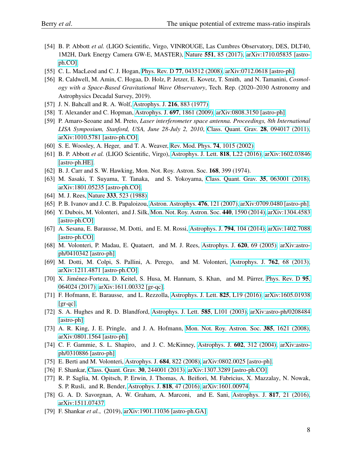- <span id="page-8-0"></span>[54] B. P. Abbott *et al.* (LIGO Scientific, Virgo, VINROUGE, Las Cumbres Observatory, DES, DLT40, 1M2H, Dark Energy Camera GW-E, MASTER), Nature 551[, 85 \(2017\),](http://dx.doi.org/10.1038/nature24471) [arXiv:1710.05835 \[astro](http://arxiv.org/abs/1710.05835)[ph.CO\].](http://arxiv.org/abs/1710.05835)
- <span id="page-8-1"></span>[55] C. L. MacLeod and C. J. Hogan, Phys. Rev. D 77[, 043512 \(2008\),](http://dx.doi.org/10.1103/PhysRevD.77.043512) [arXiv:0712.0618 \[astro-ph\].](http://arxiv.org/abs/0712.0618)
- <span id="page-8-2"></span>[56] R. Caldwell, M. Amin, C. Hogaa, D. Holz, P. Jetzer, E. Kovetz, T. Smith, and N. Tamanini, *Cosmology with a Space-Based Gravitational Wave Observatory*, Tech. Rep. (2020–2030 Astronomy and Astrophysics Decadal Survey, 2019).
- <span id="page-8-3"></span>[57] J. N. Bahcall and R. A. Wolf, [Astrophys. J.](http://dx.doi.org/10.1086/155534) **216**, 883 (1977).
- [58] T. Alexander and C. Hopman, Astrophys. J. **697**[, 1861 \(2009\),](http://dx.doi.org/10.1088/0004-637X/697/2/1861) [arXiv:0808.3150 \[astro-ph\].](http://arxiv.org/abs/0808.3150)
- <span id="page-8-4"></span>[59] P. Amaro-Seoane and M. Preto, *Laser interferometer space antenna. Proceedings, 8th International LISA Symposium, Stanford, USA, June 28-July 2, 2010*, [Class. Quant. Grav.](http://dx.doi.org/ 10.1088/0264-9381/28/9/094017) 28, 094017 (2011), [arXiv:1010.5781 \[astro-ph.CO\].](http://arxiv.org/abs/1010.5781)
- <span id="page-8-5"></span>[60] S. E. Woosley, A. Heger, and T. A. Weaver, [Rev. Mod. Phys.](http://dx.doi.org/10.1103/RevModPhys.74.1015) 74, 1015 (2002).
- <span id="page-8-6"></span>[61] B. P. Abbott *et al.* (LIGO Scientific, Virgo), [Astrophys. J. Lett.](http://dx.doi.org/10.3847/2041-8205/818/2/L22) 818, L22 (2016), [arXiv:1602.03846](http://arxiv.org/abs/1602.03846) [\[astro-ph.HE\].](http://arxiv.org/abs/1602.03846)
- <span id="page-8-7"></span>[62] B. J. Carr and S. W. Hawking, Mon. Not. Roy. Astron. Soc. 168, 399 (1974).
- <span id="page-8-8"></span>[63] M. Sasaki, T. Suyama, T. Tanaka, and S. Yokoyama, [Class. Quant. Grav.](http://dx.doi.org/ 10.1088/1361-6382/aaa7b4) 35, 063001 (2018), [arXiv:1801.05235 \[astro-ph.CO\].](http://arxiv.org/abs/1801.05235)
- <span id="page-8-9"></span>[64] M. J. Rees, Nature 333[, 523 \(1988\).](http://dx.doi.org/10.1038/333523a0)
- <span id="page-8-10"></span>[65] P. B. Ivanov and J. C. B. Papaloizou, [Astron. Astrophys.](http://dx.doi.org/10.1051/0004-6361:20077105) 476, 121 (2007), [arXiv:0709.0480 \[astro-ph\].](http://arxiv.org/abs/0709.0480)
- <span id="page-8-11"></span>[66] Y. Dubois, M. Volonteri, and J. Silk, [Mon. Not. Roy. Astron. Soc.](http://dx.doi.org/10.1093/mnras/stu373) 440, 1590 (2014), [arXiv:1304.4583](http://arxiv.org/abs/1304.4583) [\[astro-ph.CO\].](http://arxiv.org/abs/1304.4583)
- <span id="page-8-12"></span>[67] A. Sesana, E. Barausse, M. Dotti, and E. M. Rossi, [Astrophys. J.](http://dx.doi.org/ 10.1088/0004-637X/794/2/104) 794, 104 (2014), [arXiv:1402.7088](http://arxiv.org/abs/1402.7088) [\[astro-ph.CO\].](http://arxiv.org/abs/1402.7088)
- <span id="page-8-13"></span>[68] M. Volonteri, P. Madau, E. Quataert, and M. J. Rees, [Astrophys. J.](http://dx.doi.org/10.1086/426858) 620, 69 (2005), [arXiv:astro](http://arxiv.org/abs/astro-ph/0410342)[ph/0410342 \[astro-ph\].](http://arxiv.org/abs/astro-ph/0410342)
- <span id="page-8-14"></span>[69] M. Dotti, M. Colpi, S. Pallini, A. Perego, and M. Volonteri, [Astrophys. J.](http://dx.doi.org/ 10.1088/0004-637X/762/2/68) 762, 68 (2013), [arXiv:1211.4871 \[astro-ph.CO\].](http://arxiv.org/abs/1211.4871)
- <span id="page-8-15"></span>[70] X. Jiménez-Forteza, D. Keitel, S. Husa, M. Hannam, S. Khan, and M. Pürrer, [Phys. Rev. D](http://dx.doi.org/ 10.1103/PhysRevD.95.064024) 95, [064024 \(2017\),](http://dx.doi.org/ 10.1103/PhysRevD.95.064024) [arXiv:1611.00332 \[gr-qc\].](http://arxiv.org/abs/1611.00332)
- <span id="page-8-16"></span>[71] F. Hofmann, E. Barausse, and L. Rezzolla, [Astrophys. J. Lett.](http://dx.doi.org/10.3847/2041-8205/825/2/L19) **825**, L19 (2016), [arXiv:1605.01938](http://arxiv.org/abs/1605.01938)  $[gr-qc]$ .
- <span id="page-8-17"></span>[72] S. A. Hughes and R. D. Blandford, [Astrophys. J. Lett.](http://dx.doi.org/10.1086/375495) 585, L101 (2003), [arXiv:astro-ph/0208484](http://arxiv.org/abs/astro-ph/0208484) [\[astro-ph\].](http://arxiv.org/abs/astro-ph/0208484)
- [73] A. R. King, J. E. Pringle, and J. A. Hofmann, [Mon. Not. Roy. Astron. Soc.](http://dx.doi.org/10.1111/j.1365-2966.2008.12943.x) 385, 1621 (2008), [arXiv:0801.1564 \[astro-ph\].](http://arxiv.org/abs/0801.1564)
- <span id="page-8-18"></span>[74] C. F. Gammie, S. L. Shapiro, and J. C. McKinney, [Astrophys. J.](http://dx.doi.org/10.1086/380996) 602, 312 (2004), [arXiv:astro](http://arxiv.org/abs/astro-ph/0310886)[ph/0310886 \[astro-ph\].](http://arxiv.org/abs/astro-ph/0310886)
- <span id="page-8-19"></span>[75] E. Berti and M. Volonteri, [Astrophys. J.](http://dx.doi.org/10.1086/590379) 684, 822 (2008), [arXiv:0802.0025 \[astro-ph\].](http://arxiv.org/abs/0802.0025)
- <span id="page-8-20"></span>[76] F. Shankar, [Class. Quant. Grav.](http://dx.doi.org/10.1088/0264-9381/30/24/244001) 30, 244001 (2013), [arXiv:1307.3289 \[astro-ph.CO\].](http://arxiv.org/abs/1307.3289)
- [77] R. P. Saglia, M. Opitsch, P. Erwin, J. Thomas, A. Beifiori, M. Fabricius, X. Mazzalay, N. Nowak, S. P. Rusli, and R. Bender, [Astrophys. J.](http://dx.doi.org/10.3847/0004-637X/818/1/47) 818, 47 (2016), [arXiv:1601.00974.](http://arxiv.org/abs/1601.00974)
- [78] G. A. D. Savorgnan, A. W. Graham, A. Marconi, and E. Sani, [Astrophys. J.](http://dx.doi.org/10.3847/0004-637X/817/1/21) 817, 21 (2016), [arXiv:1511.07437.](http://arxiv.org/abs/1511.07437)
- <span id="page-8-21"></span>[79] F. Shankar *et al.*, (2019), [arXiv:1901.11036 \[astro-ph.GA\].](http://arxiv.org/abs/1901.11036)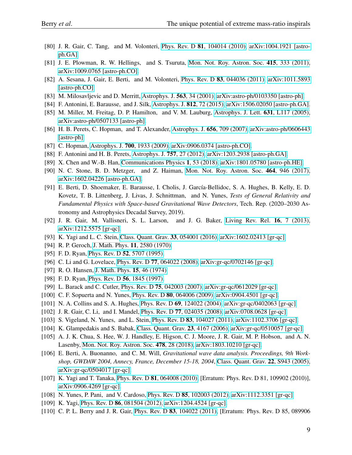- <span id="page-9-0"></span>[80] J. R. Gair, C. Tang, and M. Volonteri, Phys. Rev. D 81[, 104014 \(2010\),](http://dx.doi.org/10.1103/PhysRevD.81.104014) [arXiv:1004.1921 \[astro](http://arxiv.org/abs/1004.1921)[ph.GA\].](http://arxiv.org/abs/1004.1921)
- <span id="page-9-1"></span>[81] J. E. Plowman, R. W. Hellings, and S. Tsuruta, [Mon. Not. Roy. Astron. Soc.](http://dx.doi.org/10.1111/j.1365-2966.2011.18703.x) 415, 333 (2011), [arXiv:1009.0765 \[astro-ph.CO\].](http://arxiv.org/abs/1009.0765)
- <span id="page-9-2"></span>[82] A. Sesana, J. Gair, E. Berti, and M. Volonteri, Phys. Rev. D 83[, 044036 \(2011\),](http://dx.doi.org/ 10.1103/PhysRevD.83.044036) [arXiv:1011.5893](http://arxiv.org/abs/1011.5893) [\[astro-ph.CO\].](http://arxiv.org/abs/1011.5893)
- <span id="page-9-3"></span>[83] M. Milosavljevic and D. Merritt, [Astrophys. J.](http://dx.doi.org/10.1086/323830) 563, 34 (2001), [arXiv:astro-ph/0103350 \[astro-ph\].](http://arxiv.org/abs/astro-ph/0103350)
- <span id="page-9-4"></span>[84] F. Antonini, E. Barausse, and J. Silk, [Astrophys. J.](http://dx.doi.org/10.1088/0004-637X/812/1/72) 812, 72 (2015), [arXiv:1506.02050 \[astro-ph.GA\].](http://arxiv.org/abs/1506.02050)
- <span id="page-9-5"></span>[85] M. Miller, M. Freitag, D. P. Hamilton, and V. M. Lauburg, [Astrophys. J. Lett.](http://dx.doi.org/10.1086/497335) 631, L117 (2005), [arXiv:astro-ph/0507133 \[astro-ph\].](http://arxiv.org/abs/astro-ph/0507133)
- [86] H. B. Perets, C. Hopman, and T. Alexander, [Astrophys. J.](http://dx.doi.org/10.1086/510377) 656, 709 (2007), [arXiv:astro-ph/0606443](http://arxiv.org/abs/astro-ph/0606443) [\[astro-ph\].](http://arxiv.org/abs/astro-ph/0606443)
- [87] C. Hopman, Astrophys. J. 700[, 1933 \(2009\),](http://dx.doi.org/10.1088/0004-637X/700/2/1933) [arXiv:0906.0374 \[astro-ph.CO\].](http://arxiv.org/abs/0906.0374)
- [88] F. Antonini and H. B. Perets, [Astrophys. J.](http://dx.doi.org/10.1088/0004-637X/757/1/27) 757, 27 (2012), [arXiv:1203.2938 \[astro-ph.GA\].](http://arxiv.org/abs/1203.2938)
- <span id="page-9-6"></span>[89] X. Chen and W.-B. Han, [Communications Physics](http://dx.doi.org/10.1038/s42005-018-0053-0) 1, 53 (2018), [arXiv:1801.05780 \[astro-ph.HE\].](http://arxiv.org/abs/1801.05780)
- <span id="page-9-7"></span>[90] N. C. Stone, B. D. Metzger, and Z. Haiman, [Mon. Not. Roy. Astron. Soc.](http://dx.doi.org/10.1093/mnras/stw2260) 464, 946 (2017), [arXiv:1602.04226 \[astro-ph.GA\].](http://arxiv.org/abs/1602.04226)
- <span id="page-9-8"></span>[91] E. Berti, D. Shoemaker, E. Barausse, I. Cholis, J. García-Bellidoc, S. A. Hughes, B. Kelly, E. D. Kovetz, T. B. Littenberg, J. Livas, J. Schnittman, and N. Yunes, *Tests of General Relativity and Fundamental Physics with Space-based Gravitational Wave Detectors*, Tech. Rep. (2020–2030 Astronomy and Astrophysics Decadal Survey, 2019).
- <span id="page-9-9"></span>[92] J. R. Gair, M. Vallisneri, S. L. Larson, and J. G. Baker, [Living Rev. Rel.](http://dx.doi.org/10.12942/lrr-2013-7) 16, 7 (2013), [arXiv:1212.5575 \[gr-qc\].](http://arxiv.org/abs/1212.5575)
- <span id="page-9-10"></span>[93] K. Yagi and L. C. Stein, [Class. Quant. Grav.](http://dx.doi.org/10.1088/0264-9381/33/5/054001) 33, 054001 (2016), [arXiv:1602.02413 \[gr-qc\].](http://arxiv.org/abs/1602.02413)
- <span id="page-9-11"></span>[94] R. P. Geroch, [J. Math. Phys.](http://dx.doi.org/10.1063/1.1665427) 11, 2580 (1970).
- [95] F. D. Ryan, Phys. Rev. D **52**[, 5707 \(1995\).](http://dx.doi.org/10.1103/PhysRevD.52.5707)
- <span id="page-9-12"></span>[96] C. Li and G. Lovelace, Phys. Rev. D 77[, 064022 \(2008\),](http://dx.doi.org/10.1103/PhysRevD.77.064022) [arXiv:gr-qc/0702146 \[gr-qc\].](http://arxiv.org/abs/gr-qc/0702146)
- <span id="page-9-13"></span>[97] R. O. Hansen, [J. Math. Phys.](http://dx.doi.org/10.1063/1.1666501) **15**, 46 (1974).
- <span id="page-9-14"></span>[98] F. D. Ryan, Phys. Rev. D **56**[, 1845 \(1997\).](http://dx.doi.org/10.1103/PhysRevD.56.1845)
- <span id="page-9-15"></span>[99] L. Barack and C. Cutler, Phys. Rev. D 75[, 042003 \(2007\),](http://dx.doi.org/10.1103/PhysRevD.75.042003) [arXiv:gr-qc/0612029 \[gr-qc\].](http://arxiv.org/abs/gr-qc/0612029)
- <span id="page-9-16"></span>[100] C. F. Sopuerta and N. Yunes, Phys. Rev. D **80**[, 064006 \(2009\),](http://dx.doi.org/10.1103/PhysRevD.80.064006) [arXiv:0904.4501 \[gr-qc\].](http://arxiv.org/abs/0904.4501)
- <span id="page-9-17"></span>[101] N. A. Collins and S. A. Hughes, Phys. Rev. D 69[, 124022 \(2004\),](http://dx.doi.org/10.1103/PhysRevD.69.124022) arXiv: gr-qc/0402063 [gr-qc].
- [102] J. R. Gair, C. Li, and I. Mandel, Phys. Rev. D 77[, 024035 \(2008\),](http://dx.doi.org/10.1103/PhysRevD.77.024035) [arXiv:0708.0628 \[gr-qc\].](http://arxiv.org/abs/0708.0628)
- <span id="page-9-18"></span>[103] S. Vigeland, N. Yunes, and L. Stein, Phys. Rev. D 83[, 104027 \(2011\),](http://dx.doi.org/10.1103/PhysRevD.83.104027) [arXiv:1102.3706 \[gr-qc\].](http://arxiv.org/abs/1102.3706)
- <span id="page-9-19"></span>[104] K. Glampedakis and S. Babak, [Class. Quant. Grav.](http://dx.doi.org/10.1088/0264-9381/23/12/013) 23, 4167 (2006), [arXiv:gr-qc/0510057 \[gr-qc\].](http://arxiv.org/abs/gr-qc/0510057)
- <span id="page-9-20"></span>[105] A. J. K. Chua, S. Hee, W. J. Handley, E. Higson, C. J. Moore, J. R. Gair, M. P. Hobson, and A. N. Lasenby, [Mon. Not. Roy. Astron. Soc.](http://dx.doi.org/ 10.1093/mnras/sty1079) 478, 28 (2018), [arXiv:1803.10210 \[gr-qc\].](http://arxiv.org/abs/1803.10210)
- <span id="page-9-21"></span>[106] E. Berti, A. Buonanno, and C. M. Will, *Gravitational wave data analysis. Proceedings, 9th Workshop, GWDAW 2004, Annecy, France, December 15-18, 2004*, [Class. Quant. Grav.](http://dx.doi.org/10.1088/0264-9381/22/18/S08) 22, S943 (2005), [arXiv:gr-qc/0504017 \[gr-qc\].](http://arxiv.org/abs/gr-qc/0504017)
- [107] K. Yagi and T. Tanaka, Phys. Rev. D **81**[, 064008 \(2010\),](http://dx.doi.org/10.1103/PhysRevD.81.109902, 10.1103/PhysRevD.81.064008) [Erratum: Phys. Rev. D 81, 109902 (2010)], [arXiv:0906.4269 \[gr-qc\].](http://arxiv.org/abs/0906.4269)
- <span id="page-9-22"></span>[108] N. Yunes, P. Pani, and V. Cardoso, Phys. Rev. D 85[, 102003 \(2012\),](http://dx.doi.org/10.1103/PhysRevD.85.102003) [arXiv:1112.3351 \[gr-qc\].](http://arxiv.org/abs/1112.3351)
- <span id="page-9-23"></span>[109] K. Yagi, Phys. Rev. D 86[, 081504 \(2012\),](http://dx.doi.org/10.1103/PhysRevD.86.081504) [arXiv:1204.4524 \[gr-qc\].](http://arxiv.org/abs/1204.4524)
- <span id="page-9-24"></span>[110] C. P. L. Berry and J. R. Gair, Phys. Rev. D 83[, 104022 \(2011\),](http://dx.doi.org/10.1103/PhysRevD.85.089906, 10.1103/PhysRevD.83.104022) [Erratum: Phys. Rev. D 85, 089906